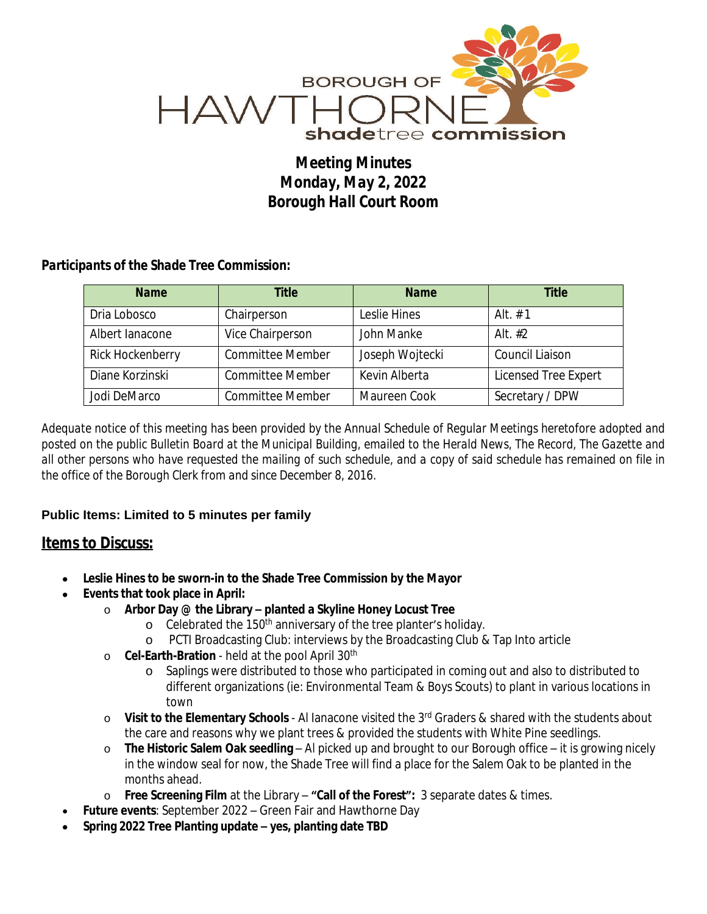

## *Meeting Minutes Monday, May 2, 2022 Borough Hall Court Room*

## *Participants of the Shade Tree Commission:*

| <b>Name</b>      | <b>Title</b>            | <b>Name</b>     | <b>Title</b>         |
|------------------|-------------------------|-----------------|----------------------|
| Dria Lobosco     | Chairperson             | Leslie Hines    | Alt $# 1$            |
| Albert lanacone  | Vice Chairperson        | John Manke      | Alt. $#2$            |
| Rick Hockenberry | <b>Committee Member</b> | Joseph Wojtecki | Council Liaison      |
| Diane Korzinski  | <b>Committee Member</b> | Kevin Alberta   | Licensed Tree Expert |
| Jodi DeMarco     | <b>Committee Member</b> | Maureen Cook    | Secretary / DPW      |

Adequate notice of this meeting has been provided by the Annual Schedule of Regular Meetings heretofore adopted and posted on the public Bulletin Board at the Municipal Building, emailed to the Herald News, The Record, The Gazette and all other persons who have requested the mailing of such schedule, and a copy of said schedule has remained on file in *the office of the Borough Clerk from and since December 8, 2016.*

## **Public Items: Limited to 5 minutes per family**

## *Items to Discuss:*

- **Leslie Hines to be sworn-in to the Shade Tree Commission by the Mayor**
- **Events that took place in April:**
	- o **Arbor Day @ the Library – planted a Skyline Honey Locust Tree**
		- o Celebrated the 150<sup>th</sup> anniversary of the tree planter's holiday.
		- o PCTI Broadcasting Club: interviews by the Broadcasting Club & Tap Into article
	- o **Cel-Earth-Bration** held at the pool April 30th
		- o Saplings were distributed to those who participated in coming out and also to distributed to different organizations (ie: Environmental Team & Boys Scouts) to plant in various locations in town
	- o **Visit to the Elementary Schools** Al Ianacone visited the 3rd Graders & shared with the students about the care and reasons why we plant trees & provided the students with White Pine seedlings.
	- o **The Historic Salem Oak seedling**  Al picked up and brought to our Borough office it is growing nicely in the window seal for now, the Shade Tree will find a place for the Salem Oak to be planted in the months ahead.
	- o **Free Screening Film** at the Library **"Call of the Forest":** 3 separate dates & times.
- **Future events**: September 2022 Green Fair and Hawthorne Day
- **Spring 2022 Tree Planting update – yes, planting date TBD**